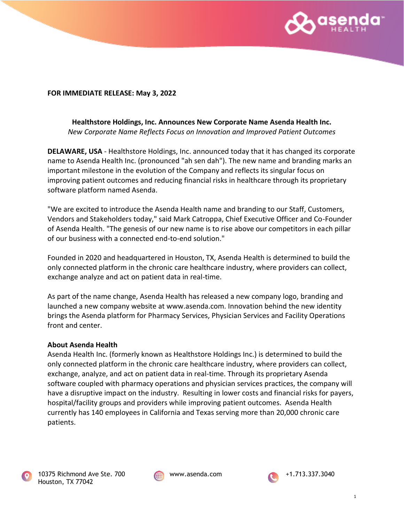

## **FOR IMMEDIATE RELEASE: May 3, 2022**

## **Healthstore Holdings, Inc. Announces New Corporate Name Asenda Health Inc.** *New Corporate Name Reflects Focus on Innovation and Improved Patient Outcomes*

**DELAWARE, USA** - Healthstore Holdings, Inc. announced today that it has changed its corporate name to Asenda Health Inc. (pronounced "ah sen dah"). The new name and branding marks an important milestone in the evolution of the Company and reflects its singular focus on improving patient outcomes and reducing financial risks in healthcare through its proprietary software platform named Asenda.

"We are excited to introduce the Asenda Health name and branding to our Staff, Customers, Vendors and Stakeholders today," said Mark Catroppa, Chief Executive Officer and Co-Founder of Asenda Health. "The genesis of our new name is to rise above our competitors in each pillar of our business with a connected end-to-end solution."

Founded in 2020 and headquartered in Houston, TX, Asenda Health is determined to build the only connected platform in the chronic care healthcare industry, where providers can collect, exchange analyze and act on patient data in real-time.

As part of the name change, Asenda Health has released a new company logo, branding and launched a new company website at www.asenda.com. Innovation behind the new identity brings the Asenda platform for Pharmacy Services, Physician Services and Facility Operations front and center.

## **About Asenda Health**

Asenda Health Inc. (formerly known as Healthstore Holdings Inc.) is determined to build the only connected platform in the chronic care healthcare industry, where providers can collect, exchange, analyze, and act on patient data in real-time. Through its proprietary Asenda software coupled with pharmacy operations and physician services practices, the company will have a disruptive impact on the industry. Resulting in lower costs and financial risks for payers, hospital/facility groups and providers while improving patient outcomes. Asenda Health currently has 140 employees in California and Texas serving more than 20,000 chronic care patients.